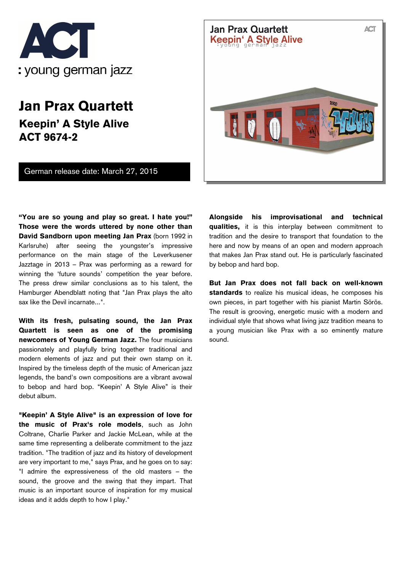

## **Jan Prax Quartett Keepin' A Style Alive ACT 9674-2**

German release date: March 27, 2015



**"You are so young and play so great. I hate you!" Those were the words uttered by none other than David Sandborn upon meeting Jan Prax** (born 1992 in Karlsruhe) after seeing the youngster's impressive performance on the main stage of the Leverkusener Jazztage in 2013 – Prax was performing as a reward for winning the 'future sounds' competition the year before. The press drew similar conclusions as to his talent, the Hamburger Abendblatt noting that "Jan Prax plays the alto sax like the Devil incarnate...".

**With its fresh, pulsating sound, the Jan Prax Quartett is seen as one of the promising newcomers of Young German Jazz.** The four musicians passionately and playfully bring together traditional and modern elements of jazz and put their own stamp on it. Inspired by the timeless depth of the music of American jazz legends, the band's own compositions are a vibrant avowal to bebop and hard bop. "Keepin' A Style Alive" is their debut album.

**"Keepin' A Style Alive" is an expression of love for the music of Prax's role models**, such as John Coltrane, Charlie Parker and Jackie McLean, while at the same time representing a deliberate commitment to the jazz tradition. "The tradition of jazz and its history of development are very important to me," says Prax, and he goes on to say: "I admire the expressiveness of the old masters – the sound, the groove and the swing that they impart. That music is an important source of inspiration for my musical ideas and it adds depth to how I play."

**Alongside his improvisational and technical qualities,** it is this interplay between commitment to tradition and the desire to transport that foundation to the here and now by means of an open and modern approach that makes Jan Prax stand out. He is particularly fascinated by bebop and hard bop.

**But Jan Prax does not fall back on well-known standards** to realize his musical ideas, he composes his own pieces, in part together with his pianist Martin Sörös. The result is grooving, energetic music with a modern and individual style that shows what living jazz tradition means to a young musician like Prax with a so eminently mature sound.